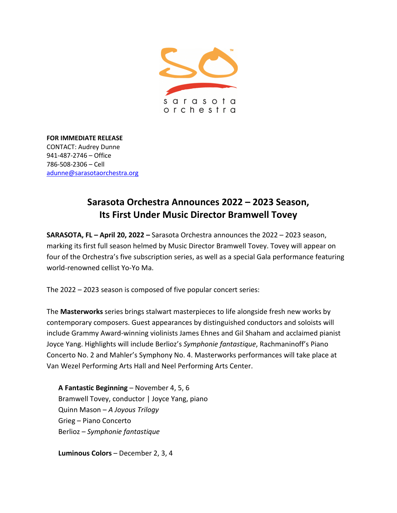

**FOR IMMEDIATE RELEASE** CONTACT: Audrey Dunne 941-487-2746 – Office 786-508-2306 – Cell [adunne@sarasotaorchestra.org](mailto:adunne@sarasotaorchestra.org)

# **Sarasota Orchestra Announces 2022 – 2023 Season, Its First Under Music Director Bramwell Tovey**

**SARASOTA, FL – April 20, 2022 –** Sarasota Orchestra announces the 2022 – 2023 season, marking its first full season helmed by Music Director Bramwell Tovey. Tovey will appear on four of the Orchestra's five subscription series, as well as a special Gala performance featuring world-renowned cellist Yo-Yo Ma.

The 2022 – 2023 season is composed of five popular concert series:

The **Masterworks** series brings stalwart masterpieces to life alongside fresh new works by contemporary composers. Guest appearances by distinguished conductors and soloists will include Grammy Award-winning violinists James Ehnes and Gil Shaham and acclaimed pianist Joyce Yang. Highlights will include Berlioz's *Symphonie fantastique*, Rachmaninoff's Piano Concerto No. 2 and Mahler's Symphony No. 4. Masterworks performances will take place at Van Wezel Performing Arts Hall and Neel Performing Arts Center.

**A Fantastic Beginning** – November 4, 5, 6 Bramwell Tovey, conductor | Joyce Yang, piano Quinn Mason – *A Joyous Trilogy* Grieg – Piano Concerto Berlioz – *Symphonie fantastique*

**Luminous Colors** – December 2, 3, 4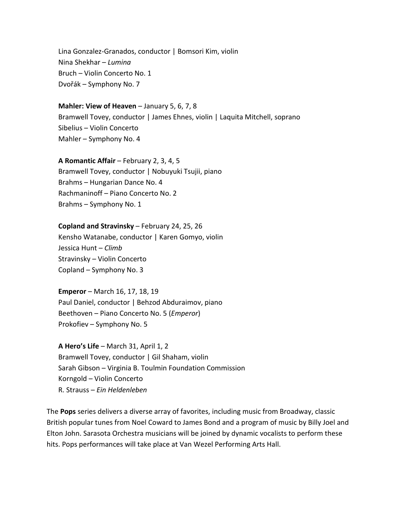Lina Gonzalez-Granados, conductor | Bomsori Kim, violin Nina Shekhar – *Lumina* Bruch – Violin Concerto No. 1 Dvořák – Symphony No. 7

## **Mahler: View of Heaven** – January 5, 6, 7, 8

Bramwell Tovey, conductor | James Ehnes, violin | Laquita Mitchell, soprano Sibelius – Violin Concerto Mahler – Symphony No. 4

### **A Romantic Affair** – February 2, 3, 4, 5

Bramwell Tovey, conductor | Nobuyuki Tsujii, piano Brahms – Hungarian Dance No. 4 Rachmaninoff – Piano Concerto No. 2 Brahms – Symphony No. 1

#### **Copland and Stravinsky** – February 24, 25, 26

Kensho Watanabe, conductor | Karen Gomyo, violin Jessica Hunt – *Climb*  Stravinsky – Violin Concerto Copland – Symphony No. 3

**Emperor** – March 16, 17, 18, 19 Paul Daniel, conductor | Behzod Abduraimov, piano Beethoven – Piano Concerto No. 5 (*Emperor*) Prokofiev – Symphony No. 5

**A Hero's Life** – March 31, April 1, 2 Bramwell Tovey, conductor | Gil Shaham, violin Sarah Gibson – Virginia B. Toulmin Foundation Commission Korngold – Violin Concerto R. Strauss – *Ein Heldenleben*

The **Pops** series delivers a diverse array of favorites, including music from Broadway, classic British popular tunes from Noel Coward to James Bond and a program of music by Billy Joel and Elton John. Sarasota Orchestra musicians will be joined by dynamic vocalists to perform these hits. Pops performances will take place at Van Wezel Performing Arts Hall.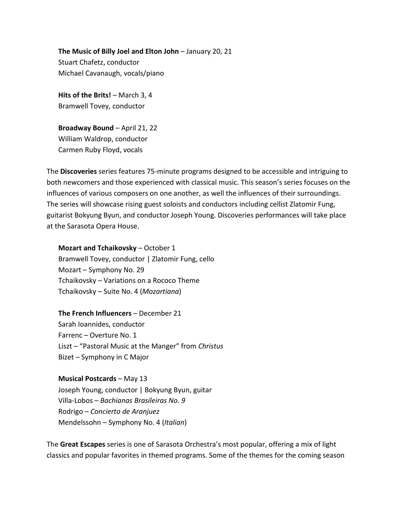**The Music of Billy Joel and Elton John** – January 20, 21 Stuart Chafetz, conductor Michael Cavanaugh, vocals/piano

**Hits of the Brits!** – March 3, 4 Bramwell Tovey, conductor

**Broadway Bound** – April 21, 22 William Waldrop, conductor Carmen Ruby Floyd, vocals

The **Discoveries** series features 75-minute programs designed to be accessible and intriguing to both newcomers and those experienced with classical music. This season's series focuses on the influences of various composers on one another, as well the influences of their surroundings. The series will showcase rising guest soloists and conductors including cellist Zlatomir Fung, guitarist Bokyung Byun, and conductor Joseph Young. Discoveries performances will take place at the Sarasota Opera House.

**Mozart and Tchaikovsky** – October 1 Bramwell Tovey, conductor | Zlatomir Fung, cello Mozart – Symphony No. 29 Tchaikovsky – Variations on a Rococo Theme Tchaikovsky – Suite No. 4 (*Mozartiana*)

## **The French Influencers** – December 21

Sarah Ioannides, conductor Farrenc – Overture No. 1 Liszt – "Pastoral Music at the Manger" from *Christus* Bizet – Symphony in C Major

## **Musical Postcards** – May 13

Joseph Young, conductor | Bokyung Byun, guitar Villa-Lobos – *Bachianas Brasileiras No. 9* Rodrigo – *Concierto de Aranjuez* Mendelssohn – Symphony No. 4 (*Italian*)

The **Great Escapes** series is one of Sarasota Orchestra's most popular, offering a mix of light classics and popular favorites in themed programs. Some of the themes for the coming season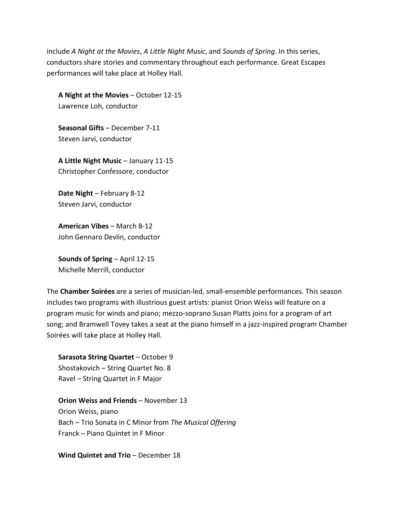include *A Night at the Movies*, *A Little Night Music*, and *Sounds of Spring*. In this series, conductors share stories and commentary throughout each performance. Great Escapes performances will take place at Holley Hall.

**A Night at the Movies** – October 12-15 Lawrence Loh, conductor

**Seasonal Gifts** – December 7-11 Steven Jarvi, conductor

**A Little Night Music** – January 11-15 Christopher Confessore, conductor

**Date Night** – February 8-12 Steven Jarvi, conductor

**American Vibes** – March 8-12 John Gennaro Devlin, conductor

**Sounds of Spring** – April 12-15 Michelle Merrill, conductor

The **Chamber Soirées** are a series of musician-led, small-ensemble performances. This season includes two programs with illustrious guest artists: pianist Orion Weiss will feature on a program music for winds and piano; mezzo-soprano Susan Platts joins for a program of art song; and Bramwell Tovey takes a seat at the piano himself in a jazz-inspired program Chamber Soirées will take place at Holley Hall.

**Sarasota String Quartet** – October 9 Shostakovich – String Quartet No. 8 Ravel – String Quartet in F Major

**Orion Weiss and Friends - November 13** Orion Weiss, piano Bach – Trio Sonata in C Minor from *The Musical Offering* Franck – Piano Quintet in F Minor

**Wind Quintet and Trio** – December 18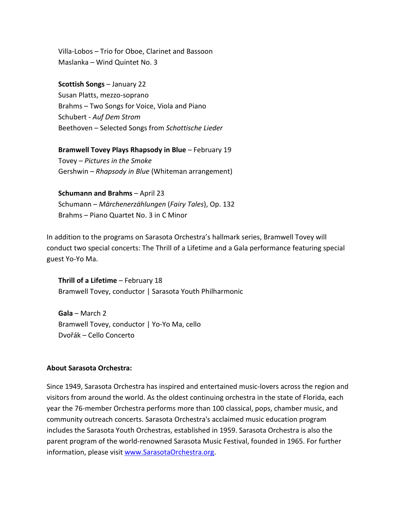Villa-Lobos – Trio for Oboe, Clarinet and Bassoon Maslanka – Wind Quintet No. 3

**Scottish Songs** – January 22

Susan Platts, mezzo-soprano Brahms – Two Songs for Voice, Viola and Piano Schubert - *Auf Dem Strom* Beethoven – Selected Songs from *Schottische Lieder*

**Bramwell Tovey Plays Rhapsody in Blue** – February 19 Tovey – *Pictures in the Smoke* Gershwin – *Rhapsody in Blue* (Whiteman arrangement)

**Schumann and Brahms** – April 23 Schumann – *Märchenerzählungen* (*Fairy Tales*), Op. 132 Brahms – Piano Quartet No. 3 in C Minor

In addition to the programs on Sarasota Orchestra's hallmark series, Bramwell Tovey will conduct two special concerts: The Thrill of a Lifetime and a Gala performance featuring special guest Yo-Yo Ma.

**Thrill of a Lifetime** – February 18 Bramwell Tovey, conductor | Sarasota Youth Philharmonic

**Gala** – March 2 Bramwell Tovey, conductor | Yo-Yo Ma, cello Dvořák – Cello Concerto

## **About Sarasota Orchestra:**

Since 1949, Sarasota Orchestra has inspired and entertained music-lovers across the region and visitors from around the world. As the oldest continuing orchestra in the state of Florida, each year the 76-member Orchestra performs more than 100 classical, pops, chamber music, and community outreach concerts. Sarasota Orchestra's acclaimed music education program includes the Sarasota Youth Orchestras, established in 1959. Sarasota Orchestra is also the parent program of the world-renowned Sarasota Music Festival, founded in 1965. For further information, please visit [www.SarasotaOrchestra.org.](http://www.sarasotaorchestra.org/)